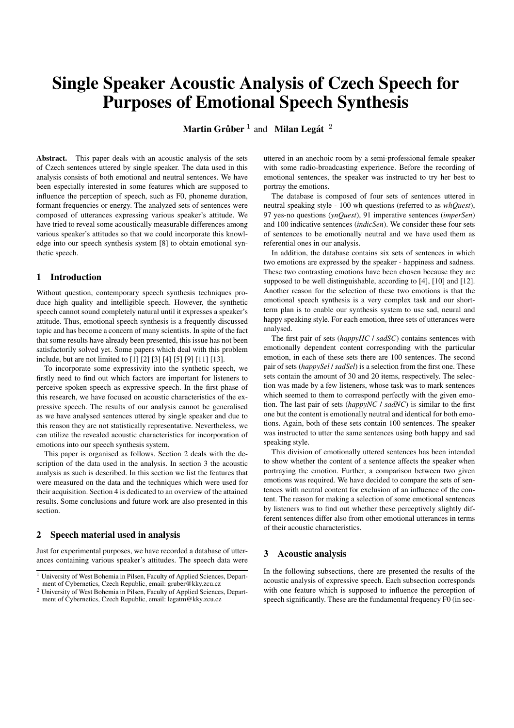# **Single Speaker Acoustic Analysis of Czech Speech for Purposes of Emotional Speech Synthesis**

**Martin Gruber ˚** 1 and **Milan Legat´** 2

**Abstract.** This paper deals with an acoustic analysis of the sets of Czech sentences uttered by single speaker. The data used in this analysis consists of both emotional and neutral sentences. We have been especially interested in some features which are supposed to influence the perception of speech, such as F0, phoneme duration, formant frequencies or energy. The analyzed sets of sentences were composed of utterances expressing various speaker's attitude. We have tried to reveal some acoustically measurable differences among various speaker's attitudes so that we could incorporate this knowledge into our speech synthesis system [8] to obtain emotional synthetic speech.

### **1 Introduction**

Without question, contemporary speech synthesis techniques produce high quality and intelligible speech. However, the synthetic speech cannot sound completely natural until it expresses a speaker's attitude. Thus, emotional speech synthesis is a frequently discussed topic and has become a concern of many scientists. In spite of the fact that some results have already been presented, this issue has not been satisfactorily solved yet. Some papers which deal with this problem include, but are not limited to [1] [2] [3] [4] [5] [9] [11] [13].

To incorporate some expressivity into the synthetic speech, we firstly need to find out which factors are important for listeners to perceive spoken speech as expressive speech. In the first phase of this research, we have focused on acoustic characteristics of the expressive speech. The results of our analysis cannot be generalised as we have analysed sentences uttered by single speaker and due to this reason they are not statistically representative. Nevertheless, we can utilize the revealed acoustic characteristics for incorporation of emotions into our speech synthesis system.

This paper is organised as follows. Section 2 deals with the description of the data used in the analysis. In section 3 the acoustic analysis as such is described. In this section we list the features that were measured on the data and the techniques which were used for their acquisition. Section 4 is dedicated to an overview of the attained results. Some conclusions and future work are also presented in this section.

## **2 Speech material used in analysis**

Just for experimental purposes, we have recorded a database of utterances containing various speaker's attitudes. The speech data were uttered in an anechoic room by a semi-professional female speaker with some radio-broadcasting experience. Before the recording of emotional sentences, the speaker was instructed to try her best to portray the emotions.

The database is composed of four sets of sentences uttered in neutral speaking style - 100 wh questions (referred to as *whQuest*), 97 yes-no questions (*ynQuest*), 91 imperative sentences (*imperSen*) and 100 indicative sentences (*indicSen*). We consider these four sets of sentences to be emotionally neutral and we have used them as referential ones in our analysis.

In addition, the database contains six sets of sentences in which two emotions are expressed by the speaker - happiness and sadness. These two contrasting emotions have been chosen because they are supposed to be well distinguishable, according to [4], [10] and [12]. Another reason for the selection of these two emotions is that the emotional speech synthesis is a very complex task and our shortterm plan is to enable our synthesis system to use sad, neural and happy speaking style. For each emotion, three sets of utterances were analysed.

The first pair of sets (*happyHC* / *sadSC*) contains sentences with emotionally dependent content corresponding with the particular emotion, in each of these sets there are 100 sentences. The second pair of sets (*happySel* / *sadSel*) is a selection from the first one. These sets contain the amount of 30 and 20 items, respectively. The selection was made by a few listeners, whose task was to mark sentences which seemed to them to correspond perfectly with the given emotion. The last pair of sets (*happyNC* / *sadNC*) is similar to the first one but the content is emotionally neutral and identical for both emotions. Again, both of these sets contain 100 sentences. The speaker was instructed to utter the same sentences using both happy and sad speaking style.

This division of emotionally uttered sentences has been intended to show whether the content of a sentence affects the speaker when portraying the emotion. Further, a comparison between two given emotions was required. We have decided to compare the sets of sentences with neutral content for exclusion of an influence of the content. The reason for making a selection of some emotional sentences by listeners was to find out whether these perceptively slightly different sentences differ also from other emotional utterances in terms of their acoustic characteristics.

## **3 Acoustic analysis**

In the following subsections, there are presented the results of the acoustic analysis of expressive speech. Each subsection corresponds with one feature which is supposed to influence the perception of speech significantly. These are the fundamental frequency F0 (in sec-

<sup>&</sup>lt;sup>1</sup> University of West Bohemia in Pilsen, Faculty of Applied Sciences, Department of Cybernetics, Czech Republic, email: gruber@kky.zcu.cz

<sup>&</sup>lt;sup>2</sup> University of West Bohemia in Pilsen, Faculty of Applied Sciences, Department of Cybernetics, Czech Republic, email: legatm@kky.zcu.cz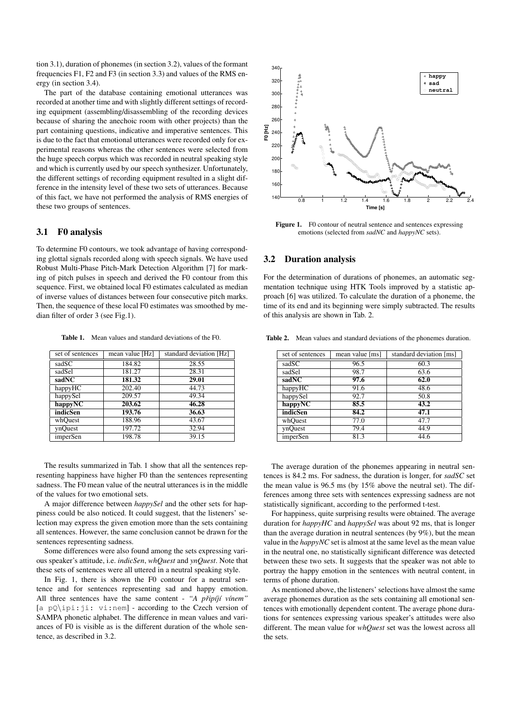tion 3.1), duration of phonemes (in section 3.2), values of the formant frequencies F1, F2 and F3 (in section 3.3) and values of the RMS energy (in section 3.4).

The part of the database containing emotional utterances was recorded at another time and with slightly different settings of recording equipment (assembling/disassembling of the recording devices because of sharing the anechoic room with other projects) than the part containing questions, indicative and imperative sentences. This is due to the fact that emotional utterances were recorded only for experimental reasons whereas the other sentences were selected from the huge speech corpus which was recorded in neutral speaking style and which is currently used by our speech synthesizer. Unfortunately, the different settings of recording equipment resulted in a slight difference in the intensity level of these two sets of utterances. Because of this fact, we have not performed the analysis of RMS energies of these two groups of sentences.

### **3.1 F0 analysis**

To determine F0 contours, we took advantage of having corresponding glottal signals recorded along with speech signals. We have used Robust Multi-Phase Pitch-Mark Detection Algorithm [7] for marking of pitch pulses in speech and derived the F0 contour from this sequence. First, we obtained local F0 estimates calculated as median of inverse values of distances between four consecutive pitch marks. Then, the sequence of these local F0 estimates was smoothed by median filter of order 3 (see Fig.1).

**Table 1.** Mean values and standard deviations of the F0.

| set of sentences | mean value [Hz] | standard deviation [Hz] |  |  |
|------------------|-----------------|-------------------------|--|--|
| sadSC            | 184.82          | 28.55                   |  |  |
| sadSel           | 181.27          | 28.31                   |  |  |
| sadNC            | 181.32          | 29.01                   |  |  |
| happyHC          | 202.40          | 44.73                   |  |  |
| happySel         | 209.57          | 49.34                   |  |  |
| happyNC          | 203.62          | 46.28                   |  |  |
| indicSen         | 193.76          | 36.63                   |  |  |
| whOuest          | 188.96          | 43.67                   |  |  |
| ynOuest          | 197.72          | 32.94                   |  |  |
| imperSen         | 198.78          | 39.15                   |  |  |

The results summarized in Tab. 1 show that all the sentences representing happiness have higher F0 than the sentences representing sadness. The F0 mean value of the neutral utterances is in the middle of the values for two emotional sets.

A major difference between *happySel* and the other sets for happiness could be also noticed. It could suggest, that the listeners' selection may express the given emotion more than the sets containing all sentences. However, the same conclusion cannot be drawn for the sentences representing sadness.

Some differences were also found among the sets expressing various speaker's attitude, i.e. *indicSen*, *whQuest* and *ynQuest*. Note that these sets of sentences were all uttered in a neutral speaking style.

In Fig. 1, there is shown the F0 contour for a neutral sentence and for sentences representing sad and happy emotion. All three sentences have the same content - "A *připíjí vínem"* [a pQ\ipi:ji: vi:nem] - according to the Czech version of SAMPA phonetic alphabet. The difference in mean values and variances of F0 is visible as is the different duration of the whole sentence, as described in 3.2.



**Figure 1.** F0 contour of neutral sentence and sentences expressing emotions (selected from *sadNC* and *happyNC* sets).

## **3.2 Duration analysis**

For the determination of durations of phonemes, an automatic segmentation technique using HTK Tools improved by a statistic approach [6] was utilized. To calculate the duration of a phoneme, the time of its end and its beginning were simply subtracted. The results of this analysis are shown in Tab. 2.

**Table 2.** Mean values and standard deviations of the phonemes duration.

| set of sentences | mean value [ms] | standard deviation [ms] |  |  |
|------------------|-----------------|-------------------------|--|--|
| sadSC            | 96.5            | 60.3                    |  |  |
| sadSel           | 98.7            | 63.6                    |  |  |
| sadNC            | 97.6            | 62.0                    |  |  |
| happyHC          | 91.6            | 48.6                    |  |  |
| happySel         | 92.7            | 50.8                    |  |  |
| happyNC          | 85.5            | 43.2                    |  |  |
| indicSen         | 84.2            | 47.1                    |  |  |
| whQuest          | 77.0            | 47.7                    |  |  |
| ynOuest          | 79.4            | 44.9                    |  |  |
| imperSen         | 81.3            | 44.6                    |  |  |

The average duration of the phonemes appearing in neutral sentences is 84.2 ms. For sadness, the duration is longer, for *sadSC* set the mean value is 96.5 ms (by 15% above the neutral set). The differences among three sets with sentences expressing sadness are not statistically significant, according to the performed t-test.

For happiness, quite surprising results were obtained. The average duration for *happyHC* and *happySel* was about 92 ms, that is longer than the average duration in neutral sentences (by 9%), but the mean value in the *happyNC* set is almost at the same level as the mean value in the neutral one, no statistically significant difference was detected between these two sets. It suggests that the speaker was not able to portray the happy emotion in the sentences with neutral content, in terms of phone duration.

As mentioned above, the listeners' selections have almost the same average phonemes duration as the sets containing all emotional sentences with emotionally dependent content. The average phone durations for sentences expressing various speaker's attitudes were also different. The mean value for *whQuest* set was the lowest across all the sets.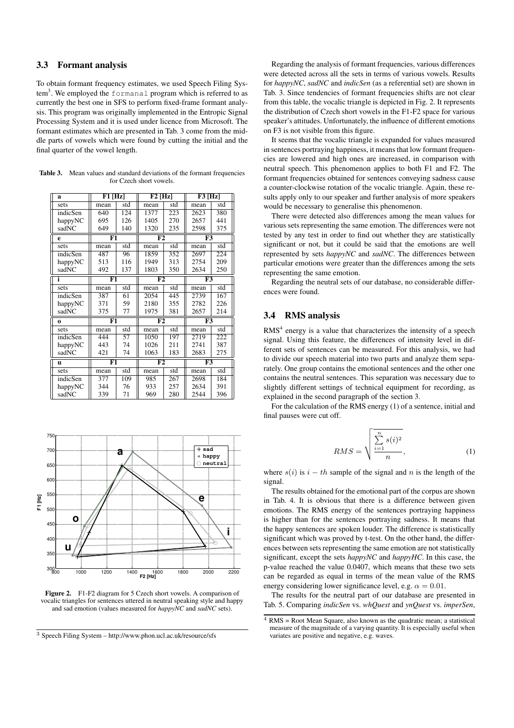# **3.3 Formant analysis**

To obtain formant frequency estimates, we used Speech Filing System $^3.$  We employed the <code>formanal</code> program which is referred to as currently the best one in SFS to perform fixed-frame formant analysis. This program was originally implemented in the Entropic Signal Processing System and it is used under licence from Microsoft. The formant estimates which are presented in Tab. 3 come from the middle parts of vowels which were found by cutting the initial and the final quarter of the vowel length.

**Table 3.** Mean values and standard deviations of the formant frequencies for Czech short vowels.

| a        | F1 [Hz]                  |     | $F2$ [Hz] |     | $F3$ [Hz] |     |
|----------|--------------------------|-----|-----------|-----|-----------|-----|
| sets     | mean                     | std | mean      | std | mean      | std |
| indicSen | 640                      | 124 | 1377      | 223 | 2623      | 380 |
| happyNC  | 695                      | 126 | 1405      | 270 | 2657      | 441 |
| sadNC    | 649                      | 140 | 1320      | 235 | 2598      | 375 |
| e        | F1                       |     | F2        |     | F3        |     |
| sets     | mean                     | std | mean      | std | mean      | std |
| indicSen | 487                      | 96  | 1859      | 352 | 2697      | 224 |
| happyNC  | 513                      | 116 | 1949      | 313 | 2754      | 209 |
| sadNC    | 492                      | 137 | 1803      | 350 | 2634      | 250 |
| i        | F1                       |     | F2        |     | F3        |     |
| sets     | mean                     | std | mean      | std | mean      | std |
| indicSen | 387                      | 61  | 2054      | 445 | 2739      | 167 |
| happyNC  | 371                      | 59  | 2180      | 355 | 2782      | 226 |
| sadNC    | 375                      | 77  | 1975      | 381 | 2657      | 214 |
| $\bf{0}$ | F1                       |     | F2        |     | F3        |     |
| sets     | mean                     | std | mean      | std | mean      | std |
| indicSen | 444                      | 57  | 1050      | 197 | 2719      | 222 |
| happyNC  | 443                      | 74  | 1026      | 211 | 2741      | 387 |
| sadNC    | 421                      | 74  | 1063      | 183 | 2683      | 275 |
| u        | $\overline{\mathrm{F1}}$ |     | F2        |     | F3        |     |
| sets     | mean                     | std | mean      | std | mean      | std |
| indicSen | 377                      | 109 | 985       | 267 | 2698      | 184 |
| happyNC  | 344                      | 76  | 933       | 257 | 2634      | 391 |
| sadNC    | 339                      | 71  | 969       | 280 | 2544      | 396 |



**Figure 2.** F1-F2 diagram for 5 Czech short vowels. A comparison of vocalic triangles for sentences uttered in neutral speaking style and happy and sad emotion (values measured for *happyNC* and *sadNC* sets).

<sup>3</sup> Speech Filing System – http://www.phon.ucl.ac.uk/resource/sfs

Regarding the analysis of formant frequencies, various differences were detected across all the sets in terms of various vowels. Results for *happyNC*, *sadNC* and *indicSen* (as a referential set) are shown in Tab. 3. Since tendencies of formant frequencies shifts are not clear from this table, the vocalic triangle is depicted in Fig. 2. It represents the distribution of Czech short vowels in the F1-F2 space for various speaker's attitudes. Unfortunately, the influence of different emotions on F3 is not visible from this figure.

It seems that the vocalic triangle is expanded for values measured in sentences portraying happiness, it means that low formant frequencies are lowered and high ones are increased, in comparison with neutral speech. This phenomenon applies to both F1 and F2. The formant frequencies obtained for sentences conveying sadness cause a counter-clockwise rotation of the vocalic triangle. Again, these results apply only to our speaker and further analysis of more speakers would be necessary to generalise this phenomenon.

There were detected also differences among the mean values for various sets representing the same emotion. The differences were not tested by any test in order to find out whether they are statistically significant or not, but it could be said that the emotions are well represented by sets *happyNC* and *sadNC*. The differences between particular emotions were greater than the differences among the sets representing the same emotion.

Regarding the neutral sets of our database, no considerable differences were found.

## **3.4 RMS analysis**

 $RMS<sup>4</sup>$  energy is a value that characterizes the intensity of a speech signal. Using this feature, the differences of intensity level in different sets of sentences can be measured. For this analysis, we had to divide our speech material into two parts and analyze them separately. One group contains the emotional sentences and the other one contains the neutral sentences. This separation was necessary due to slightly different settings of technical equipment for recording, as explained in the second paragraph of the section 3.

For the calculation of the RMS energy (1) of a sentence, initial and final pauses were cut off.

$$
RMS = \sqrt{\frac{\sum_{i=1}^{n} s(i)^2}{n}},
$$
\n(1)

where  $s(i)$  is  $i - th$  sample of the signal and n is the length of the signal.

The results obtained for the emotional part of the corpus are shown in Tab. 4. It is obvious that there is a difference between given emotions. The RMS energy of the sentences portraying happiness is higher than for the sentences portraying sadness. It means that the happy sentences are spoken louder. The difference is statistically significant which was proved by t-test. On the other hand, the differences between sets representing the same emotion are not statistically significant, except the sets *happyNC* and *happyHC*. In this case, the p-value reached the value 0.0407, which means that these two sets can be regarded as equal in terms of the mean value of the RMS energy considering lower significance level, e.g.  $\alpha = 0.01$ .

The results for the neutral part of our database are presented in Tab. 5. Comparing *indicSen* vs. *whQuest* and *ynQuest* vs. *imperSen*,

 $\overline{4 \text{ RMS}}$  = Root Mean Square, also known as the quadratic mean; a statistical measure of the magnitude of a varying quantity. It is especially useful when variates are positive and negative, e.g. waves.